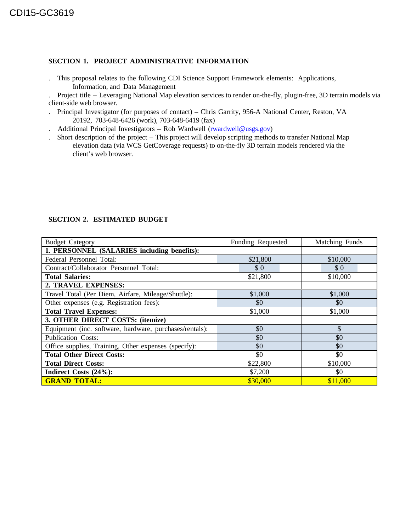### **SECTION 1. PROJECT ADMINISTRATIVE INFORMATION**

. This proposal relates to the following CDI Science Support Framework elements: Applications, Information, and Data Management

. Project title – Leveraging National Map elevation services to render on-the-fly, plugin-free, 3D terrain models via client-side web browser.

- . Principal Investigator (for purposes of contact) Chris Garrity, 956-A National Center, Reston, VA 20192, 703-648-6426 (work), 703-648-6419 (fax)
- Additional Principal Investigators Rob Wardwell (rwardwell@usgs.gov)
- . Short description of the project This project will develop scripting methods to transfer National Map elevation data (via WCS GetCoverage requests) to on-the-fly 3D terrain models rendered via the client's web browser.

| <b>Budget Category</b>                                  | Funding Requested | Matching Funds |
|---------------------------------------------------------|-------------------|----------------|
| 1. PERSONNEL (SALARIES including benefits):             |                   |                |
| Federal Personnel Total:                                | \$21,800          | \$10,000       |
| Contract/Collaborator Personnel Total:                  | \$0               | \$0            |
| <b>Total Salaries:</b>                                  | \$21,800          | \$10,000       |
| 2. TRAVEL EXPENSES:                                     |                   |                |
| Travel Total (Per Diem, Airfare, Mileage/Shuttle):      | \$1,000           | \$1,000        |
| Other expenses (e.g. Registration fees):                | \$0               | \$0            |
| <b>Total Travel Expenses:</b>                           | \$1,000           | \$1,000        |
| 3. OTHER DIRECT COSTS: (itemize)                        |                   |                |
| Equipment (inc. software, hardware, purchases/rentals): | \$0               | \$             |
| <b>Publication Costs:</b>                               | \$0               | \$0            |
| Office supplies, Training, Other expenses (specify):    | \$0               | \$0            |
| <b>Total Other Direct Costs:</b>                        | \$0               | \$0            |
| <b>Total Direct Costs:</b>                              | \$22,800          | \$10,000       |
| Indirect Costs (24%):                                   | \$7,200           | \$0            |
| <b>GRAND TOTAL:</b>                                     | \$30,000          | \$11,000       |

## **SECTION 2. ESTIMATED BUDGET**